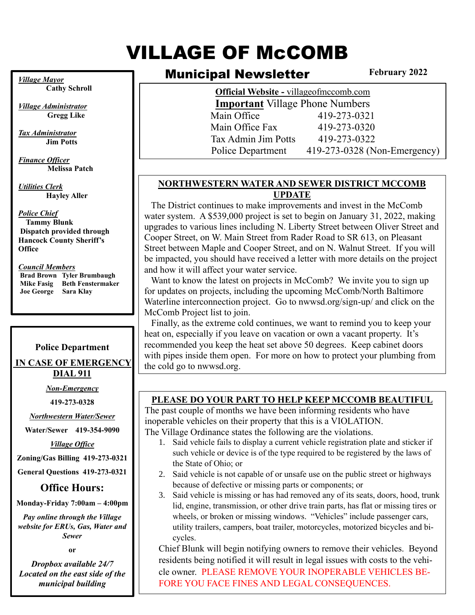# VILLAGE OF McCOMB

*Village Mayor* **Cathy Schroll**

*Village Administrator*  **Gregg Like**

*Tax Administrator* **Jim Potts**

*Finance Officer*  **Melissa Patch**

*Utilities Clerk* **Hayley Aller**

#### *Police Chief*

 **Tammy Blunk Dispatch provided through Hancock County Sheriff's Office**

#### *Council Members*

**Brad Brown Tyler Brumbaugh Mike Fasig Beth Fenstermaker Joe George Sara Klay**

## **Police Department**

**IN CASE OF EMERGENCY DIAL 911**

*Non-Emergency* 

**419-273-0328**

*Northwestern Water/Sewer*

**Water/Sewer 419-354-9090**

*Village Office*

**Zoning/Gas Billing 419-273-0321**

**General Questions 419-273-0321**

### **Office Hours:**

**Monday-Friday 7:00am – 4:00pm**

*Pay online through the Village website for ERUs, Gas, Water and Sewer*

**or**

*Dropbox available 24/7 Located on the east side of the municipal building*

# Municipal Newsletter

**February 2022**

**Official Website -** villageofmccomb.com **Important** Village Phone Numbers Main Office 419-273-0321 Main Office Fax 419-273-0320 Tax Admin Jim Potts 419-273-0322 Police Department 419-273-0328 (Non-Emergency)

#### **NORTHWESTERN WATER AND SEWER DISTRICT MCCOMB UPDATE**

 The District continues to make improvements and invest in the McComb water system. A \$539,000 project is set to begin on January 31, 2022, making upgrades to various lines including N. Liberty Street between Oliver Street and Cooper Street, on W. Main Street from Rader Road to SR 613, on Pleasant Street between Maple and Cooper Street, and on N. Walnut Street. If you will be impacted, you should have received a letter with more details on the project and how it will affect your water service.

Want to know the latest on projects in McComb? We invite you to sign up for updates on projects, including the upcoming McComb/North Baltimore Waterline interconnection project. Go to nwwsd.org/sign-up/ and click on the McComb Project list to join.

 Finally, as the extreme cold continues, we want to remind you to keep your heat on, especially if you leave on vacation or own a vacant property. It's recommended you keep the heat set above 50 degrees. Keep cabinet doors with pipes inside them open. For more on how to protect your plumbing from the cold go to nwwsd.org.

#### **PLEASE DO YOUR PART TO HELP KEEP MCCOMB BEAUTIFUL**

The past couple of months we have been informing residents who have inoperable vehicles on their property that this is a VIOLATION.

The Village Ordinance states the following are the violations.

- 1. Said vehicle fails to display a current vehicle registration plate and sticker if such vehicle or device is of the type required to be registered by the laws of the State of Ohio; or
- 2. Said vehicle is not capable of or unsafe use on the public street or highways because of defective or missing parts or components; or
- 3. Said vehicle is missing or has had removed any of its seats, doors, hood, trunk lid, engine, transmission, or other drive train parts, has flat or missing tires or wheels, or broken or missing windows. "Vehicles" include passenger cars, utility trailers, campers, boat trailer, motorcycles, motorized bicycles and bicycles.

Chief Blunk will begin notifying owners to remove their vehicles. Beyond residents being notified it will result in legal issues with costs to the vehicle owner. PLEASE REMOVE YOUR INOPERABLE VEHICLES BE-FORE YOU FACE FINES AND LEGAL CONSEQUENCES.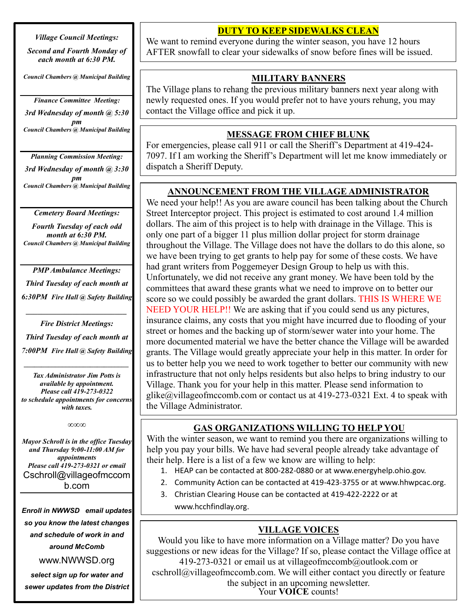*Village Council Meetings:*

*Second and Fourth Monday of each month at 6:30 PM.*

*Council Chambers @ Municipal Building*

*Finance Committee Meeting:*

*3rd Wednesday of month @ 5:30 pm Council Chambers @ Municipal Building*

*Planning Commission Meeting: 3rd Wednesday of month @ 3:30 pm Council Chambers @ Municipal Building*

*Cemetery Board Meetings:*

*Fourth Tuesday of each odd month at 6:30 PM. Council Chambers @ Municipal Building*

*PMP Ambulance Meetings: Third Tuesday of each month at 6:30PM Fire Hall @ Safety Building*

*\_\_\_\_\_\_\_\_\_\_\_\_\_\_\_\_\_\_\_\_\_\_\_\_\_\_*

*Fire District Meetings: Third Tuesday of each month at 7:00PM Fire Hall @ Safety Building*

*Tax Administrator Jim Potts is available by appointment. Please call 419-273-0322 to schedule appointments for concerns with taxes.*

*∞∞∞*

*Mayor Schroll is in the office Tuesday and Thursday 9:00-11:00 AM for appointments Please call 419-273-0321 or email*  [Cschroll@villageofmccom](mailto:Cschroll@villageofmccomb.com) [b.com](mailto:Cschroll@villageofmccomb.com)

*Enroll in NWWSD email updates so you know the latest changes and schedule of work in and around McComb* 

[www.NWWSD.org](http://www.nwwsd.org/)

*select sign up for water and sewer updates from the District*

#### **DUTY TO KEEP SIDEWALKS CLEAN**

We want to remind everyone during the winter season, you have 12 hours AFTER snowfall to clear your sidewalks of snow before fines will be issued.

### **MILITARY BANNERS**

The Village plans to rehang the previous military banners next year along with newly requested ones. If you would prefer not to have yours rehung, you may contact the Village office and pick it up.

#### **MESSAGE FROM CHIEF BLUNK**

For emergencies, please call 911 or call the Sheriff's Department at 419-424- 7097. If I am working the Sheriff's Department will let me know immediately or dispatch a Sheriff Deputy.

### **ANNOUNCEMENT FROM THE VILLAGE ADMINISTRATOR**

We need your help!! As you are aware council has been talking about the Church Street Interceptor project. This project is estimated to cost around 1.4 million dollars. The aim of this project is to help with drainage in the Village. This is only one part of a bigger 11 plus million dollar project for storm drainage throughout the Village. The Village does not have the dollars to do this alone, so we have been trying to get grants to help pay for some of these costs. We have had grant writers from Poggemeyer Design Group to help us with this. Unfortunately, we did not receive any grant money. We have been told by the committees that award these grants what we need to improve on to better our score so we could possibly be awarded the grant dollars. THIS IS WHERE WE NEED YOUR HELP!! We are asking that if you could send us any pictures, insurance claims, any costs that you might have incurred due to flooding of your street or homes and the backing up of storm/sewer water into your home. The more documented material we have the better chance the Village will be awarded grants. The Village would greatly appreciate your help in this matter. In order for us to better help you we need to work together to better our community with new infrastructure that not only helps residents but also helps to bring industry to our Village. Thank you for your help in this matter. Please send information to glike@villageofmccomb.com or contact us at 419-273-0321 Ext. 4 to speak with the Village Administrator.

### **GAS ORGANIZATIONS WILLING TO HELP YOU**

With the winter season, we want to remind you there are organizations willing to help you pay your bills. We have had several people already take advantage of their help. Here is a list of a few we know are willing to help:

- 1. HEAP can be contacted at 800-282-0880 or at www.energyhelp.ohio.gov.
- 2. Community Action can be contacted at 419-423-3755 or at www.hhwpcac.org.
- 3. Christian Clearing House can be contacted at 419-422-2222 or at www.hcchfindlay.org.

### **VILLAGE VOICES**

Would you like to have more information on a Village matter? Do you have suggestions or new ideas for the Village? If so, please contact the Village office at

419-273-0321 or email us at [villageofmccomb@outlook.com](mailto:villageofmccomb@outlook.com) or [cschroll@villageofmccomb.com.](mailto:cschroll@villageofmccomb.com) We will either contact you directly or feature

the subject in an upcoming newsletter. Your **VOICE** counts!